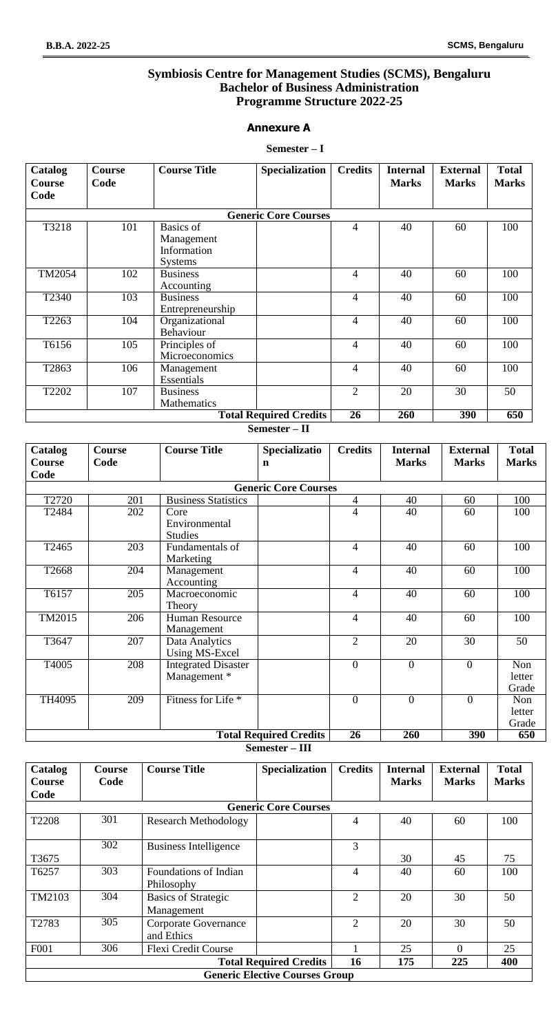## **Symbiosis Centre for Management Studies (SCMS), Bengaluru Bachelor of Business Administration Programme Structure 2022-25**

#### **Annexure A**

#### **Semester – I**

| Catalog<br><b>Course</b><br>Code | <b>Course</b><br>Code | <b>Course Title</b> | <b>Specialization</b>         | <b>Credits</b> | <b>Internal</b><br><b>Marks</b> | <b>External</b><br><b>Marks</b> | <b>Total</b><br><b>Marks</b> |
|----------------------------------|-----------------------|---------------------|-------------------------------|----------------|---------------------------------|---------------------------------|------------------------------|
|                                  |                       |                     |                               |                |                                 |                                 |                              |
|                                  |                       |                     | <b>Generic Core Courses</b>   |                |                                 |                                 |                              |
| T3218                            | 101                   | <b>Basics</b> of    |                               | $\overline{4}$ | 40                              | 60                              | 100                          |
|                                  |                       | Management          |                               |                |                                 |                                 |                              |
|                                  |                       | Information         |                               |                |                                 |                                 |                              |
|                                  |                       | <b>Systems</b>      |                               |                |                                 |                                 |                              |
| TM2054                           | 102                   | <b>Business</b>     |                               | $\overline{4}$ | 40                              | 60                              | 100                          |
|                                  |                       | Accounting          |                               |                |                                 |                                 |                              |
| T2340                            | 103                   | <b>Business</b>     |                               | $\overline{4}$ | 40                              | 60                              | 100                          |
|                                  |                       | Entrepreneurship    |                               |                |                                 |                                 |                              |
| T2263                            | 104                   | Organizational      |                               | $\overline{4}$ | 40                              | 60                              | 100                          |
|                                  |                       | Behaviour           |                               |                |                                 |                                 |                              |
| T6156                            | 105                   | Principles of       |                               | $\overline{4}$ | 40                              | 60                              | 100                          |
|                                  |                       | Microeconomics      |                               |                |                                 |                                 |                              |
| T2863                            | 106                   | Management          |                               | $\overline{4}$ | 40                              | 60                              | 100                          |
|                                  |                       | Essentials          |                               |                |                                 |                                 |                              |
| T2202                            | 107                   | <b>Business</b>     |                               | $\overline{2}$ | 20                              | 30                              | 50                           |
|                                  |                       | Mathematics         |                               |                |                                 |                                 |                              |
|                                  |                       |                     | <b>Total Required Credits</b> | 26             | 260                             | 390                             | 650                          |

**Semester – II**

| Catalog<br><b>Course</b> | <b>Course</b><br>Code       | <b>Course Title</b>                        | Specializatio<br>$\mathbf n$  | <b>Credits</b>   | <b>Internal</b><br><b>Marks</b> | <b>External</b><br><b>Marks</b> | <b>Total</b><br><b>Marks</b> |  |  |  |
|--------------------------|-----------------------------|--------------------------------------------|-------------------------------|------------------|---------------------------------|---------------------------------|------------------------------|--|--|--|
| Code                     |                             |                                            |                               |                  |                                 |                                 |                              |  |  |  |
|                          | <b>Generic Core Courses</b> |                                            |                               |                  |                                 |                                 |                              |  |  |  |
| T2720                    | 201                         | <b>Business Statistics</b>                 |                               | $\overline{4}$   | 40                              | 60                              | 100                          |  |  |  |
| T2484                    | 202                         | Core                                       |                               | 4                | 40                              | 60                              | 100                          |  |  |  |
|                          |                             | Environmental<br><b>Studies</b>            |                               |                  |                                 |                                 |                              |  |  |  |
| T2465                    | 203                         | Fundamentals of<br>Marketing               |                               | $\overline{4}$   | 40                              | 60                              | 100                          |  |  |  |
| T2668                    | 204                         | Management<br>Accounting                   |                               | $\overline{4}$   | 40                              | 60                              | 100                          |  |  |  |
| T6157                    | 205                         | Macroeconomic<br>Theory                    |                               | $\overline{4}$   | 40                              | 60                              | 100                          |  |  |  |
| TM2015                   | 206                         | Human Resource<br>Management               |                               | $\overline{4}$   | 40                              | 60                              | 100                          |  |  |  |
| T3647                    | 207                         | Data Analytics<br><b>Using MS-Excel</b>    |                               | $\overline{2}$   | 20                              | 30                              | 50                           |  |  |  |
| T4005                    | 208                         | <b>Integrated Disaster</b><br>Management * |                               | $\boldsymbol{0}$ | $\boldsymbol{0}$                | $\boldsymbol{0}$                | Non<br>letter<br>Grade       |  |  |  |
| TH4095                   | $\overline{209}$            | Fitness for Life <sup>*</sup>              |                               | $\overline{0}$   | $\overline{0}$                  | $\overline{0}$                  | Non<br>letter<br>Grade       |  |  |  |
|                          |                             |                                            | <b>Total Required Credits</b> | 26               | 260                             | 390                             | 650                          |  |  |  |

**Semester – III**

| Catalog<br>Course | <b>Course</b><br>Code | <b>Course Title</b>                      | <b>Specialization</b>                 | <b>Credits</b> | <b>Internal</b><br><b>Marks</b> | <b>External</b><br><b>Marks</b> | <b>Total</b><br><b>Marks</b> |
|-------------------|-----------------------|------------------------------------------|---------------------------------------|----------------|---------------------------------|---------------------------------|------------------------------|
| Code              |                       |                                          |                                       |                |                                 |                                 |                              |
|                   |                       |                                          | <b>Generic Core Courses</b>           |                |                                 |                                 |                              |
| T2208             | 301                   | <b>Research Methodology</b>              |                                       | 4              | 40                              | 60                              | 100                          |
|                   | 302                   | <b>Business Intelligence</b>             |                                       | 3              |                                 |                                 |                              |
| T3675             |                       |                                          |                                       |                | 30                              | 45                              | 75                           |
| T6257             | 303                   | Foundations of Indian<br>Philosophy      |                                       | 4              | 40                              | 60                              | 100                          |
| TM2103            | 304                   | <b>Basics of Strategic</b><br>Management |                                       | $\overline{2}$ | 20                              | 30                              | 50                           |
| T2783             | 305                   | Corporate Governance<br>and Ethics       |                                       | $\overline{2}$ | 20                              | 30                              | 50                           |
| F001              | 306                   | <b>Flexi Credit Course</b>               |                                       |                | 25                              | $\Omega$                        | 25                           |
|                   |                       |                                          | <b>Total Required Credits</b>         | 16             | 175                             | 225                             | 400                          |
|                   |                       |                                          | <b>Generic Elective Courses Group</b> |                |                                 |                                 |                              |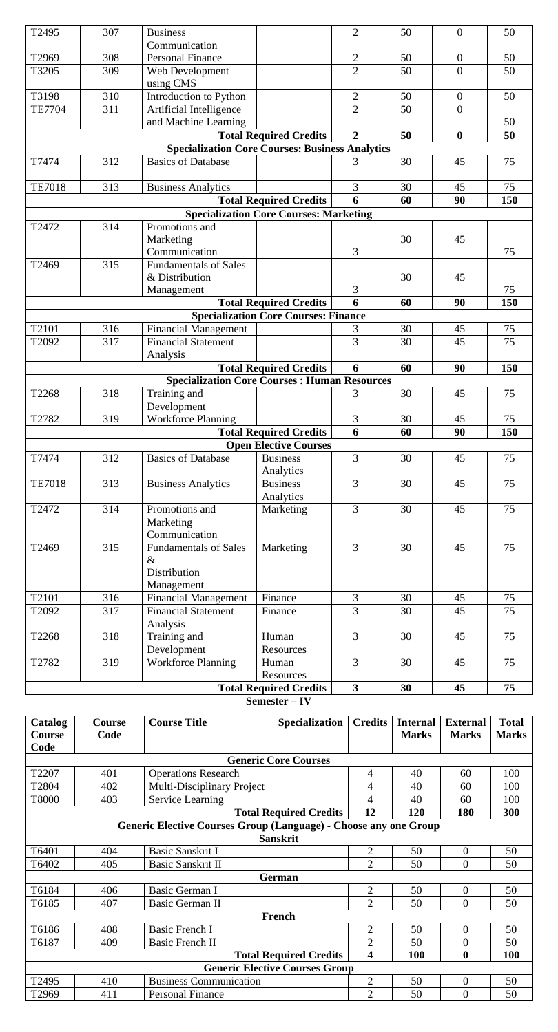| T2495                                                                   | 307           | <b>Business</b>                                           |                                               | $\overline{2}$          | 50 | $\mathbf{0}$     | 50       |  |  |
|-------------------------------------------------------------------------|---------------|-----------------------------------------------------------|-----------------------------------------------|-------------------------|----|------------------|----------|--|--|
|                                                                         |               | Communication                                             |                                               |                         |    |                  |          |  |  |
| T2969                                                                   | 308           | <b>Personal Finance</b>                                   |                                               | $\sqrt{2}$              | 50 | $\boldsymbol{0}$ | 50       |  |  |
| T3205                                                                   | 309           | Web Development                                           |                                               | $\overline{2}$          | 50 | $\overline{0}$   | 50       |  |  |
|                                                                         |               | using CMS                                                 |                                               |                         |    |                  |          |  |  |
| T3198                                                                   | 310           | Introduction to Python                                    |                                               | $\mathfrak{2}$          | 50 | $\boldsymbol{0}$ | 50       |  |  |
| <b>TE7704</b>                                                           | 311           | Artificial Intelligence                                   |                                               | $\overline{2}$          | 50 | $\mathbf{0}$     |          |  |  |
|                                                                         |               | and Machine Learning                                      |                                               |                         |    |                  | 50       |  |  |
| 50<br>50<br><b>Total Required Credits</b><br>$\overline{2}$<br>$\bf{0}$ |               |                                                           |                                               |                         |    |                  |          |  |  |
|                                                                         |               | <b>Specialization Core Courses: Business Analytics</b>    |                                               |                         |    |                  |          |  |  |
| T7474                                                                   | 312           | <b>Basics of Database</b>                                 |                                               | 3                       | 30 | 45               | 75       |  |  |
| <b>TE7018</b>                                                           | 313           | <b>Business Analytics</b>                                 |                                               | 3                       | 30 | 45               | 75       |  |  |
|                                                                         |               |                                                           | <b>Total Required Credits</b>                 | 6                       | 60 | 90               | 150      |  |  |
|                                                                         |               |                                                           | <b>Specialization Core Courses: Marketing</b> |                         |    |                  |          |  |  |
| T2472                                                                   | 314           | Promotions and                                            |                                               |                         |    |                  |          |  |  |
|                                                                         |               | Marketing                                                 |                                               |                         | 30 | 45               |          |  |  |
|                                                                         |               | Communication                                             |                                               | 3                       |    |                  | 75       |  |  |
| T2469                                                                   | 315           | <b>Fundamentals of Sales</b>                              |                                               |                         |    |                  |          |  |  |
|                                                                         |               | & Distribution                                            |                                               |                         | 30 | 45               |          |  |  |
|                                                                         |               | Management                                                |                                               | $\mathfrak{Z}$          |    |                  | 75       |  |  |
|                                                                         |               |                                                           | <b>Total Required Credits</b>                 | 6                       | 60 | 90               | 150      |  |  |
| T2101                                                                   | 316           | <b>Financial Management</b>                               | <b>Specialization Core Courses: Finance</b>   |                         | 30 | 45               |          |  |  |
| T2092                                                                   | 317           | <b>Financial Statement</b>                                |                                               | 3<br>$\overline{3}$     | 30 | 45               | 75<br>75 |  |  |
|                                                                         |               | Analysis                                                  |                                               |                         |    |                  |          |  |  |
|                                                                         |               |                                                           | <b>Total Required Credits</b>                 | 6                       | 60 | 90               | 150      |  |  |
|                                                                         |               | <b>Specialization Core Courses: Human Resources</b>       |                                               |                         |    |                  |          |  |  |
| T2268                                                                   | 318           | Training and                                              |                                               | 3                       | 30 | 45               | 75       |  |  |
|                                                                         |               | Development                                               |                                               |                         |    |                  |          |  |  |
| T2782                                                                   | 319           | <b>Workforce Planning</b>                                 |                                               | 3                       | 30 | 45               | 75       |  |  |
|                                                                         |               |                                                           | <b>Total Required Credits</b>                 | 6                       | 60 | 90               | 150      |  |  |
|                                                                         |               |                                                           | <b>Open Elective Courses</b>                  |                         |    |                  |          |  |  |
| T7474                                                                   | 312           | <b>Basics of Database</b>                                 | <b>Business</b>                               | $\overline{3}$          | 30 | 45               | 75       |  |  |
|                                                                         |               |                                                           | Analytics                                     |                         |    |                  |          |  |  |
| <b>TE7018</b>                                                           | 313           | <b>Business Analytics</b>                                 | <b>Business</b>                               | $\overline{3}$          | 30 | 45               | 75       |  |  |
|                                                                         |               |                                                           | Analytics                                     |                         |    |                  |          |  |  |
| T2472                                                                   | 314           | Promotions and<br>Marketing                               | Marketing                                     | $\overline{3}$          | 30 | 45               | 75       |  |  |
|                                                                         |               | Communication                                             |                                               |                         |    |                  |          |  |  |
| T2469                                                                   | 315           | <b>Fundamentals of Sales</b>                              | Marketing                                     | $\overline{3}$          | 30 | 45               | 75       |  |  |
|                                                                         |               | $\&$                                                      |                                               |                         |    |                  |          |  |  |
|                                                                         |               | Distribution                                              |                                               |                         |    |                  |          |  |  |
| T2101                                                                   | 316           | Management                                                | Finance                                       |                         | 30 |                  |          |  |  |
| T2092                                                                   | 317           | <b>Financial Management</b><br><b>Financial Statement</b> | Finance                                       | 3<br>$\overline{3}$     | 30 | 45<br>45         | 75<br>75 |  |  |
|                                                                         |               | Analysis                                                  |                                               |                         |    |                  |          |  |  |
| T2268                                                                   | 318           | Training and                                              | Human                                         | $\overline{3}$          | 30 | 45               | 75       |  |  |
|                                                                         |               | Development                                               | Resources                                     |                         |    |                  |          |  |  |
| T2782                                                                   | 319           | Workforce Planning                                        | Human                                         | $\overline{3}$          | 30 | 45               | 75       |  |  |
|                                                                         |               |                                                           | Resources<br><b>Total Required Credits</b>    | $\overline{\mathbf{3}}$ | 30 | 45               | 75       |  |  |
|                                                                         |               |                                                           |                                               |                         |    |                  |          |  |  |
|                                                                         | Semester – IV |                                                           |                                               |                         |    |                  |          |  |  |

| Catalog<br>Course                                                | Course<br>Code              | <b>Course Title</b>               | <b>Specialization</b>                 | <b>Credits</b> | <b>Internal</b><br><b>Marks</b> | <b>External</b><br><b>Marks</b> | <b>Total</b><br><b>Marks</b> |  |  |  |  |
|------------------------------------------------------------------|-----------------------------|-----------------------------------|---------------------------------------|----------------|---------------------------------|---------------------------------|------------------------------|--|--|--|--|
| Code                                                             |                             |                                   |                                       |                |                                 |                                 |                              |  |  |  |  |
|                                                                  |                             |                                   |                                       |                |                                 |                                 |                              |  |  |  |  |
|                                                                  | <b>Generic Core Courses</b> |                                   |                                       |                |                                 |                                 |                              |  |  |  |  |
| T2207                                                            | 401                         | <b>Operations Research</b>        |                                       | 4              | 40                              | 60                              | 100                          |  |  |  |  |
| T2804                                                            | 402                         | <b>Multi-Disciplinary Project</b> |                                       | 4              | 40                              | 60                              | 100                          |  |  |  |  |
| T8000                                                            | 403                         | <b>Service Learning</b>           |                                       | 4              | 40                              | 60                              | 100                          |  |  |  |  |
|                                                                  |                             |                                   | <b>Total Required Credits</b>         | 12             | 120                             | 180                             | 300                          |  |  |  |  |
| Generic Elective Courses Group (Language) - Choose any one Group |                             |                                   |                                       |                |                                 |                                 |                              |  |  |  |  |
| <b>Sanskrit</b>                                                  |                             |                                   |                                       |                |                                 |                                 |                              |  |  |  |  |
| T6401                                                            | 404                         | Basic Sanskrit I                  |                                       | $\overline{2}$ | 50                              | $\theta$                        | 50                           |  |  |  |  |
| T6402                                                            | 405                         | Basic Sanskrit II                 |                                       | $\overline{2}$ | 50                              | $\Omega$                        | 50                           |  |  |  |  |
|                                                                  | German                      |                                   |                                       |                |                                 |                                 |                              |  |  |  |  |
| T6184                                                            | 406                         | Basic German I                    |                                       | $\overline{2}$ | 50                              | $\overline{0}$                  | 50                           |  |  |  |  |
| T6185                                                            | 407                         | Basic German II                   |                                       | $\overline{2}$ | 50                              | $\theta$                        | 50                           |  |  |  |  |
|                                                                  |                             |                                   | French                                |                |                                 |                                 |                              |  |  |  |  |
| T6186                                                            | 408                         | <b>Basic French I</b>             |                                       | $\overline{2}$ | 50                              | $\theta$                        | 50                           |  |  |  |  |
| T6187                                                            | 409                         | <b>Basic French II</b>            |                                       | $\overline{2}$ | 50                              | $\theta$                        | 50                           |  |  |  |  |
|                                                                  |                             |                                   | <b>Total Required Credits</b>         | 4              | <b>100</b>                      | $\boldsymbol{0}$                | <b>100</b>                   |  |  |  |  |
|                                                                  |                             |                                   | <b>Generic Elective Courses Group</b> |                |                                 |                                 |                              |  |  |  |  |
| T <sub>2495</sub>                                                | 410                         | <b>Business Communication</b>     |                                       | $\overline{2}$ | 50                              | $\overline{0}$                  | 50                           |  |  |  |  |
| T2969                                                            | 411                         | <b>Personal Finance</b>           |                                       | $\overline{2}$ | 50                              | $\overline{0}$                  | 50                           |  |  |  |  |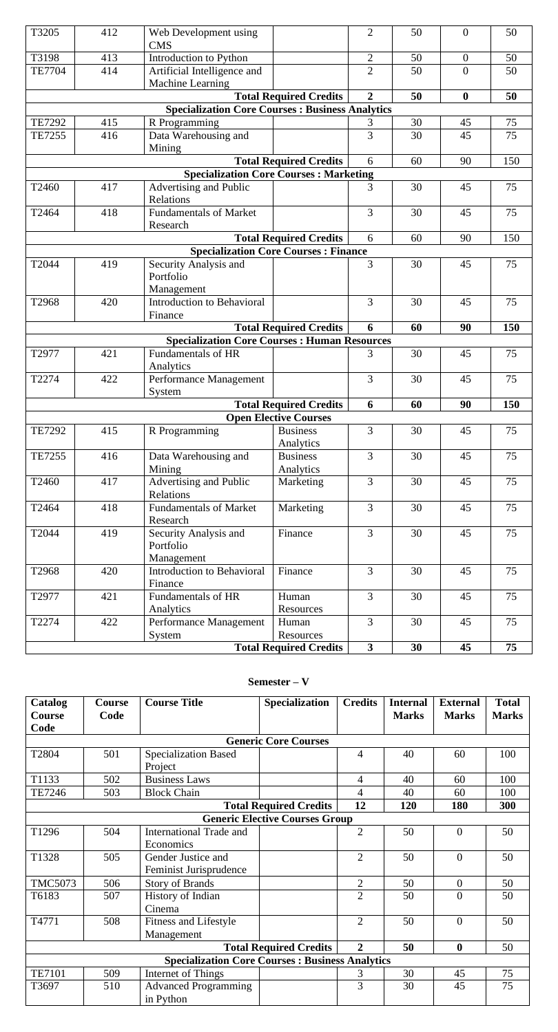| T3205                                               | 412                                                    | Web Development using<br><b>CMS</b>                        |                               | $\overline{2}$ | 50 | $\overline{0}$   | 50     |  |  |
|-----------------------------------------------------|--------------------------------------------------------|------------------------------------------------------------|-------------------------------|----------------|----|------------------|--------|--|--|
| T3198                                               | 413                                                    | Introduction to Python                                     |                               | $\overline{2}$ | 50 | $\mathbf{0}$     | 50     |  |  |
| <b>TE7704</b>                                       | 414                                                    | Artificial Intelligence and                                |                               | $\overline{2}$ | 50 | $\overline{0}$   | 50     |  |  |
|                                                     |                                                        | Machine Learning                                           |                               |                |    |                  |        |  |  |
|                                                     |                                                        |                                                            | <b>Total Required Credits</b> | $\overline{2}$ | 50 | $\boldsymbol{0}$ | 50     |  |  |
|                                                     | <b>Specialization Core Courses: Business Analytics</b> |                                                            |                               |                |    |                  |        |  |  |
| <b>TE7292</b>                                       | 415                                                    | R Programming                                              |                               | 3              | 30 | 45               | 75     |  |  |
| <b>TE7255</b>                                       | 416                                                    | Data Warehousing and<br>Mining                             |                               | $\overline{3}$ | 30 | 45               | 75     |  |  |
|                                                     |                                                        |                                                            | <b>Total Required Credits</b> | 6              | 60 | 90               | 150    |  |  |
|                                                     |                                                        | <b>Specialization Core Courses: Marketing</b>              |                               |                |    |                  |        |  |  |
| T2460                                               | 417                                                    | Advertising and Public<br>Relations                        |                               | 3              | 30 | 45               | 75     |  |  |
| T2464                                               | 418                                                    | <b>Fundamentals of Market</b>                              |                               | 3              | 30 | 45               | 75     |  |  |
|                                                     |                                                        | Research                                                   |                               |                |    |                  |        |  |  |
|                                                     |                                                        |                                                            | <b>Total Required Credits</b> | 6              | 60 | 90               | 150    |  |  |
|                                                     |                                                        | <b>Specialization Core Courses: Finance</b>                |                               |                |    |                  |        |  |  |
| T2044                                               | 419                                                    | Security Analysis and<br>Portfolio                         |                               | 3              | 30 | 45               | 75     |  |  |
| T2968                                               | 420                                                    | Management<br><b>Introduction to Behavioral</b><br>Finance |                               | 3              | 30 | 45               | 75     |  |  |
|                                                     |                                                        |                                                            | <b>Total Required Credits</b> | 6              | 60 | 90               | 150    |  |  |
| <b>Specialization Core Courses: Human Resources</b> |                                                        |                                                            |                               |                |    |                  |        |  |  |
| T2977                                               | 421                                                    | <b>Fundamentals of HR</b>                                  |                               | 3              | 30 | 45               | 75     |  |  |
|                                                     |                                                        | Analytics                                                  |                               |                |    |                  |        |  |  |
| T2274                                               | 422                                                    | Performance Management<br>System                           |                               | 3              | 30 | 45               | 75     |  |  |
|                                                     |                                                        |                                                            | <b>Total Required Credits</b> | 6              | 60 | 90               | 150    |  |  |
|                                                     |                                                        |                                                            | <b>Open Elective Courses</b>  |                |    |                  |        |  |  |
| <b>TE7292</b>                                       | 415                                                    | R Programming                                              | Business<br>Analytics         | 3              | 30 | 45               | $75\,$ |  |  |
| TE7255                                              | 416                                                    | Data Warehousing and<br>Mining                             | <b>Business</b><br>Analytics  | $\overline{3}$ | 30 | 45               | 75     |  |  |
| T2460                                               | 417                                                    | Advertising and Public<br>Relations                        | Marketing                     | $\overline{3}$ | 30 | 45               | 75     |  |  |
| T2464                                               | 418                                                    | <b>Fundamentals of Market</b><br>Research                  | Marketing                     | $\overline{3}$ | 30 | 45               | 75     |  |  |
| T2044                                               | 419                                                    | Security Analysis and<br>Portfolio<br>Management           | Finance                       | $\overline{3}$ | 30 | 45               | 75     |  |  |
| T2968                                               | 420                                                    | <b>Introduction to Behavioral</b><br>Finance               | Finance                       | $\overline{3}$ | 30 | 45               | 75     |  |  |
| T2977                                               | 421                                                    | <b>Fundamentals of HR</b>                                  | Human                         | $\overline{3}$ | 30 | 45               | 75     |  |  |
|                                                     |                                                        | Analytics                                                  | Resources                     |                |    |                  |        |  |  |
| T2274                                               | 422                                                    | Performance Management<br>System                           | Human<br>Resources            | $\overline{3}$ | 30 | 45               | 75     |  |  |
|                                                     |                                                        |                                                            | <b>Total Required Credits</b> | 3 <sup>1</sup> | 30 | 45               | 75     |  |  |
|                                                     |                                                        |                                                            |                               |                |    |                  |        |  |  |

# **Semester – V**

| Catalog                       | Course                                | <b>Course Title</b>                                    | <b>Specialization</b>         | <b>Credits</b> | <b>Internal</b> | <b>External</b>  | <b>Total</b> |  |  |
|-------------------------------|---------------------------------------|--------------------------------------------------------|-------------------------------|----------------|-----------------|------------------|--------------|--|--|
| <b>Course</b>                 | Code                                  |                                                        |                               |                | <b>Marks</b>    | <b>Marks</b>     | <b>Marks</b> |  |  |
| Code                          |                                       |                                                        |                               |                |                 |                  |              |  |  |
|                               |                                       |                                                        | <b>Generic Core Courses</b>   |                |                 |                  |              |  |  |
| T2804                         | 501                                   | <b>Specialization Based</b><br>Project                 |                               | $\overline{4}$ | 40              | 60               | 100          |  |  |
| T1133                         | 502                                   | <b>Business Laws</b>                                   |                               | $\overline{4}$ | 40              | 60               | 100          |  |  |
| TE7246                        | 503                                   | <b>Block Chain</b>                                     |                               | 4              | 40              | 60               | 100          |  |  |
| <b>Total Required Credits</b> |                                       |                                                        |                               |                | 120             | 180              | 300          |  |  |
|                               | <b>Generic Elective Courses Group</b> |                                                        |                               |                |                 |                  |              |  |  |
| T1296                         | 504                                   | <b>International Trade and</b><br>Economics            |                               | $\overline{2}$ | 50              | $\overline{0}$   | 50           |  |  |
| T1328                         | 505                                   | Gender Justice and<br>Feminist Jurisprudence           |                               | $\overline{2}$ | 50              | $\theta$         | 50           |  |  |
| <b>TMC5073</b>                | 506                                   | <b>Story of Brands</b>                                 |                               | $\overline{2}$ | 50              | $\overline{0}$   | 50           |  |  |
| T6183                         | 507                                   | History of Indian<br>Cinema                            |                               | $\overline{2}$ | 50              | $\overline{0}$   | 50           |  |  |
| T4771                         | 508                                   | Fitness and Lifestyle<br>Management                    |                               | $\overline{2}$ | 50              | $\overline{0}$   | 50           |  |  |
|                               |                                       |                                                        | <b>Total Required Credits</b> | $\overline{2}$ | 50              | $\boldsymbol{0}$ | 50           |  |  |
|                               |                                       | <b>Specialization Core Courses: Business Analytics</b> |                               |                |                 |                  |              |  |  |
| <b>TE7101</b>                 | 509                                   | Internet of Things                                     |                               | 3              | 30              | 45               | 75           |  |  |
| T3697                         | 510                                   | <b>Advanced Programming</b><br>in Python               |                               | $\overline{3}$ | 30              | 45               | 75           |  |  |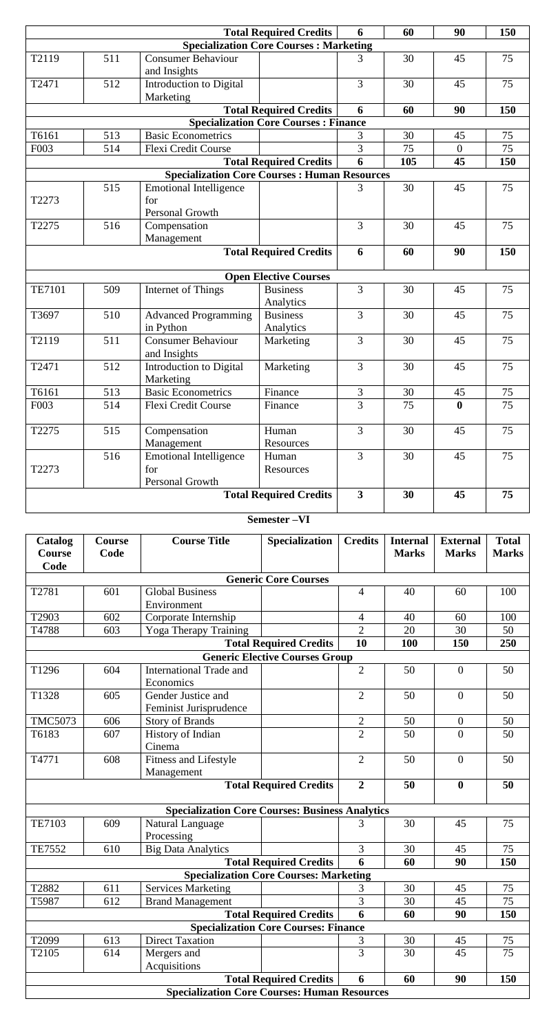|               |                                               |                                                         | <b>Total Required Credits</b>               | 6              | 60 | 90               | 150 |  |  |  |
|---------------|-----------------------------------------------|---------------------------------------------------------|---------------------------------------------|----------------|----|------------------|-----|--|--|--|
|               | <b>Specialization Core Courses: Marketing</b> |                                                         |                                             |                |    |                  |     |  |  |  |
| T2119         | 511                                           | <b>Consumer Behaviour</b><br>and Insights               |                                             | 3              | 30 | 45               | 75  |  |  |  |
| T2471         | 512                                           | Introduction to Digital<br>Marketing                    |                                             | $\overline{3}$ | 30 | 45               | 75  |  |  |  |
|               |                                               |                                                         | <b>Total Required Credits</b>               | 6              | 60 | 90               | 150 |  |  |  |
|               |                                               |                                                         | <b>Specialization Core Courses: Finance</b> |                |    |                  |     |  |  |  |
| T6161         | 513                                           | <b>Basic Econometrics</b>                               |                                             | 3              | 30 | 45               | 75  |  |  |  |
| F003          | 514                                           | Flexi Credit Course                                     |                                             | 3              | 75 | $\boldsymbol{0}$ | 75  |  |  |  |
|               | <b>Total Required Credits</b>                 |                                                         |                                             |                |    | 45               | 150 |  |  |  |
|               |                                               | <b>Specialization Core Courses: Human Resources</b>     |                                             |                |    |                  |     |  |  |  |
| T2273         | 515                                           | <b>Emotional Intelligence</b><br>for<br>Personal Growth |                                             | 3              | 30 | 45               | 75  |  |  |  |
| T2275         | 516                                           | Compensation<br>Management                              |                                             | 3              | 30 | 45               | 75  |  |  |  |
|               | <b>Total Required Credits</b>                 |                                                         |                                             |                | 60 | 90               | 150 |  |  |  |
|               |                                               |                                                         | <b>Open Elective Courses</b>                |                |    |                  |     |  |  |  |
| <b>TE7101</b> | 509                                           | Internet of Things                                      | <b>Business</b><br>Analytics                | $\overline{3}$ | 30 | 45               | 75  |  |  |  |
| T3697         | 510                                           | <b>Advanced Programming</b><br>in Python                | <b>Business</b><br>Analytics                | $\overline{3}$ | 30 | 45               | 75  |  |  |  |
| T2119         | 511                                           | <b>Consumer Behaviour</b><br>and Insights               | Marketing                                   | 3              | 30 | 45               | 75  |  |  |  |
| T2471         | 512                                           | Introduction to Digital<br>Marketing                    | Marketing                                   | $\overline{3}$ | 30 | 45               | 75  |  |  |  |
| T6161         | 513                                           | <b>Basic Econometrics</b>                               | Finance                                     | $\mathfrak{Z}$ | 30 | 45               | 75  |  |  |  |
| F003          | 514                                           | <b>Flexi Credit Course</b>                              | Finance                                     | 3              | 75 | $\boldsymbol{0}$ | 75  |  |  |  |
| T2275         | 515                                           | Compensation<br>Management                              | Human<br>Resources                          | 3              | 30 | 45               | 75  |  |  |  |
| T2273         | 516                                           | <b>Emotional Intelligence</b><br>for<br>Personal Growth | Human<br>Resources                          | $\overline{3}$ | 30 | 45               | 75  |  |  |  |
|               |                                               |                                                         | <b>Total Required Credits</b>               | $\mathbf{3}$   | 30 | 45               | 75  |  |  |  |

**Semester –VI**

| Catalog                     | Course | <b>Course Title</b>                                    | Specialization                              | <b>Credits</b> | <b>Internal</b> | <b>External</b>  | <b>Total</b>    |  |  |
|-----------------------------|--------|--------------------------------------------------------|---------------------------------------------|----------------|-----------------|------------------|-----------------|--|--|
| Course                      | Code   |                                                        |                                             |                | <b>Marks</b>    | <b>Marks</b>     | <b>Marks</b>    |  |  |
| Code                        |        |                                                        |                                             |                |                 |                  |                 |  |  |
| <b>Generic Core Courses</b> |        |                                                        |                                             |                |                 |                  |                 |  |  |
| T2781                       | 601    | <b>Global Business</b>                                 |                                             | $\overline{4}$ | 40              | 60               | 100             |  |  |
|                             |        | Environment                                            |                                             |                |                 |                  |                 |  |  |
| T2903                       | 602    | Corporate Internship                                   |                                             | $\overline{4}$ | 40              | 60               | 100             |  |  |
| T4788                       | 603    | Yoga Therapy Training                                  |                                             | $\overline{2}$ | 20              | 30               | 50              |  |  |
|                             |        |                                                        | <b>Total Required Credits</b>               | 10             | 100             | 150              | 250             |  |  |
|                             |        |                                                        | <b>Generic Elective Courses Group</b>       |                |                 |                  |                 |  |  |
| T1296                       | 604    | International Trade and                                |                                             | $\overline{2}$ | 50              | $\boldsymbol{0}$ | 50              |  |  |
|                             |        | Economics                                              |                                             |                |                 |                  |                 |  |  |
| T1328                       | 605    | Gender Justice and                                     |                                             | $\overline{2}$ | 50              | $\overline{0}$   | 50              |  |  |
|                             |        | Feminist Jurisprudence                                 |                                             |                |                 |                  |                 |  |  |
| <b>TMC5073</b>              | 606    | <b>Story of Brands</b>                                 |                                             | $\overline{2}$ | 50              | $\boldsymbol{0}$ | 50              |  |  |
| T6183                       | 607    | History of Indian                                      |                                             | $\overline{2}$ | 50              | $\overline{0}$   | 50              |  |  |
|                             |        | Cinema                                                 |                                             |                |                 |                  |                 |  |  |
| T4771                       | 608    | Fitness and Lifestyle                                  |                                             | $\overline{2}$ | 50              | $\boldsymbol{0}$ | 50              |  |  |
|                             |        | Management                                             |                                             |                |                 |                  |                 |  |  |
|                             |        |                                                        | <b>Total Required Credits</b>               | $\overline{2}$ | 50              | $\boldsymbol{0}$ | 50              |  |  |
|                             |        | <b>Specialization Core Courses: Business Analytics</b> |                                             |                |                 |                  |                 |  |  |
| TE7103                      | 609    | Natural Language                                       |                                             | 3              | 30              | 45               | 75              |  |  |
|                             |        | Processing                                             |                                             |                |                 |                  |                 |  |  |
| <b>TE7552</b>               | 610    | <b>Big Data Analytics</b>                              |                                             | $\overline{3}$ | 30              | 45               | 75              |  |  |
|                             |        |                                                        | <b>Total Required Credits</b>               | 6              | 60              | 90               | 150             |  |  |
|                             |        | <b>Specialization Core Courses: Marketing</b>          |                                             |                |                 |                  |                 |  |  |
| T2882                       | 611    | <b>Services Marketing</b>                              |                                             | 3              | 30              | 45               | 75              |  |  |
| T5987                       | 612    | <b>Brand Management</b>                                |                                             | $\overline{3}$ | 30              | 45               | $\overline{75}$ |  |  |
|                             |        |                                                        | <b>Total Required Credits</b>               | 6              | 60              | 90               | 150             |  |  |
|                             |        |                                                        | <b>Specialization Core Courses: Finance</b> |                |                 |                  |                 |  |  |
| T2099                       | 613    | <b>Direct Taxation</b>                                 |                                             | 3              | 30              | 45               | 75              |  |  |
| T2105                       | 614    | Mergers and                                            |                                             | $\overline{3}$ | 30              | 45               | 75              |  |  |
|                             |        | Acquisitions                                           |                                             |                |                 |                  |                 |  |  |
|                             |        |                                                        | <b>Total Required Credits</b>               | 6              | 60              | 90               | 150             |  |  |
|                             |        | <b>Specialization Core Courses: Human Resources</b>    |                                             |                |                 |                  |                 |  |  |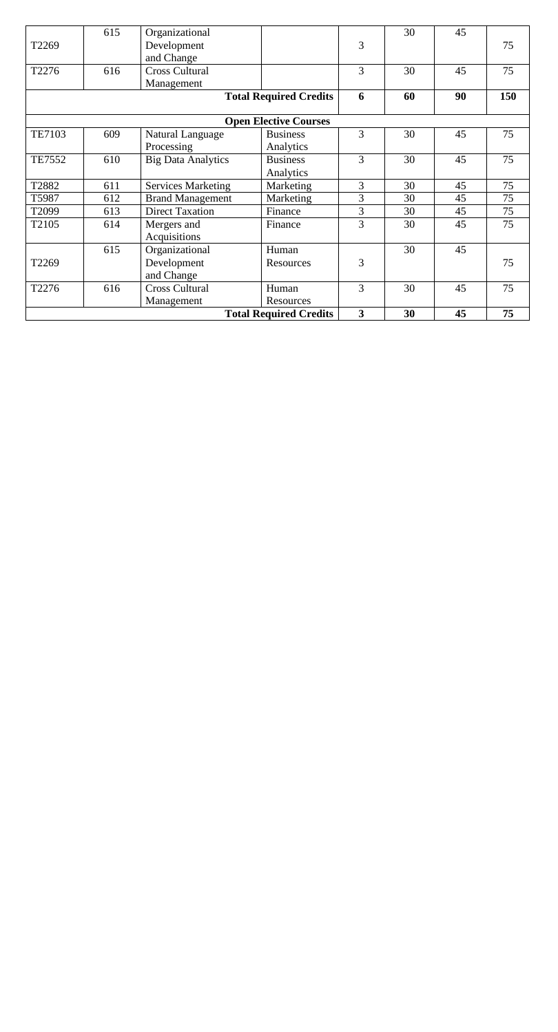|                               | 615 | Organizational                |                         |                | 30 | 45 |     |  |  |
|-------------------------------|-----|-------------------------------|-------------------------|----------------|----|----|-----|--|--|
| T2269                         |     | Development                   |                         | 3              |    |    | 75  |  |  |
|                               |     | and Change                    |                         |                |    |    |     |  |  |
| T2276                         | 616 | <b>Cross Cultural</b>         |                         | 3              | 30 | 45 | 75  |  |  |
|                               |     | Management                    |                         |                |    |    |     |  |  |
| <b>Total Required Credits</b> |     |                               |                         | 6              | 60 | 90 | 150 |  |  |
| <b>Open Elective Courses</b>  |     |                               |                         |                |    |    |     |  |  |
| <b>TE7103</b>                 | 609 | Natural Language              | <b>Business</b>         | 3              | 30 | 45 | 75  |  |  |
|                               |     | Processing                    | Analytics               |                |    |    |     |  |  |
| <b>TE7552</b>                 | 610 | <b>Big Data Analytics</b>     | <b>Business</b>         | $\overline{3}$ | 30 | 45 | 75  |  |  |
|                               |     |                               | Analytics               |                |    |    |     |  |  |
| T2882                         | 611 | <b>Services Marketing</b>     | Marketing               | $\overline{3}$ | 30 | 45 | 75  |  |  |
| T5987                         | 612 | <b>Brand Management</b>       | Marketing               | 3              | 30 | 45 | 75  |  |  |
| T2099                         | 613 | <b>Direct Taxation</b>        | Finance                 | 3              | 30 | 45 | 75  |  |  |
| T2105                         | 614 | Mergers and                   | Finance                 | 3              | 30 | 45 | 75  |  |  |
|                               |     | Acquisitions                  |                         |                |    |    |     |  |  |
|                               | 615 | Organizational                | Human                   |                | 30 | 45 |     |  |  |
| T2269                         |     | Development                   | Resources               | 3              |    |    | 75  |  |  |
|                               |     | and Change                    |                         |                |    |    |     |  |  |
| T2276                         | 616 | <b>Cross Cultural</b>         | Human                   | 3              | 30 | 45 | 75  |  |  |
|                               |     | Management                    | Resources               |                |    |    |     |  |  |
|                               |     | <b>Total Required Credits</b> | $\overline{\mathbf{3}}$ | 30             | 45 | 75 |     |  |  |